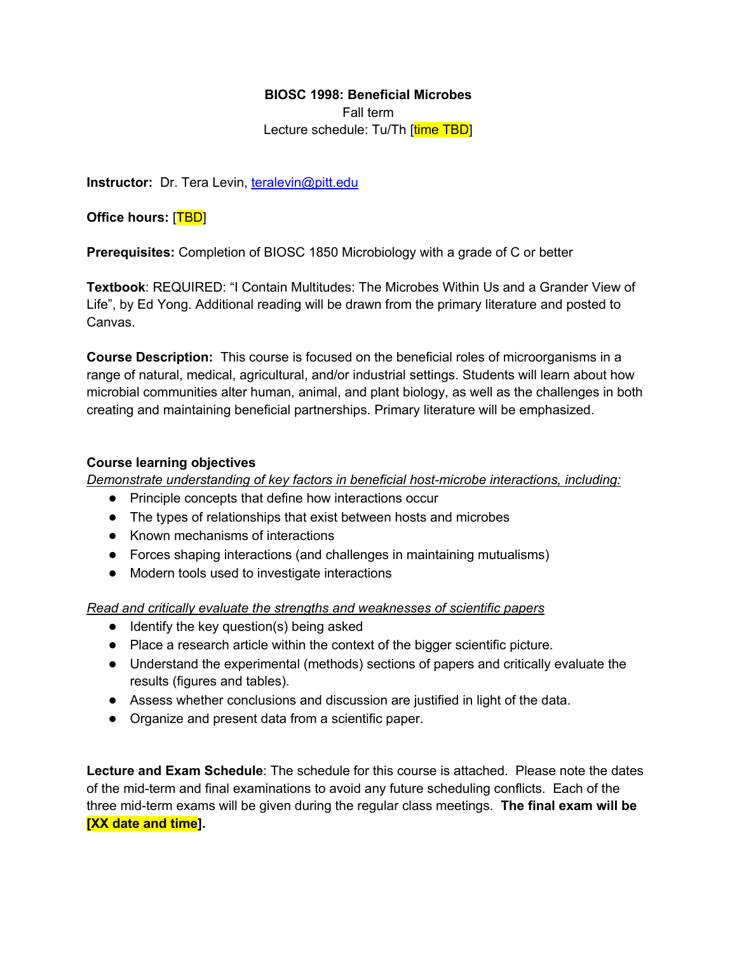## **BIOSC 1998: Beneficial Microbes**

Fall term Lecture schedule: Tu/Th [time TBD]

**Instructor:** Dr. Tera Levin, teralevin@pitt.edu

**Office hours:** [TBD]

**Prerequisites:** Completion of BIOSC 1850 Microbiology with a grade of C or better

**Textbook**: REQUIRED: "I Contain Multitudes: The Microbes Within Us and a Grander View of Life", by Ed Yong. Additional reading will be drawn from the primary literature and posted to Canvas.

**Course Description:** This course is focused on the beneficial roles of microorganisms in a range of natural, medical, agricultural, and/or industrial settings. Students will learn about how microbial communities alter human, animal, and plant biology, as well as the challenges in both creating and maintaining beneficial partnerships. Primary literature will be emphasized.

## **Course learning objectives**

*Demonstrate understanding of key factors in beneficial host-microbe interactions, including:*

- Principle concepts that define how interactions occur
- The types of relationships that exist between hosts and microbes
- Known mechanisms of interactions
- Forces shaping interactions (and challenges in maintaining mutualisms)
- Modern tools used to investigate interactions

*Read and critically evaluate the strengths and weaknesses of scientific papers*

- Identify the key question(s) being asked
- Place a research article within the context of the bigger scientific picture.
- Understand the experimental (methods) sections of papers and critically evaluate the results (figures and tables).
- Assess whether conclusions and discussion are justified in light of the data.
- Organize and present data from a scientific paper.

**Lecture and Exam Schedule**: The schedule for this course is attached. Please note the dates of the mid-term and final examinations to avoid any future scheduling conflicts. Each of the three mid-term exams will be given during the regular class meetings. **The final exam will be [XX date and time].**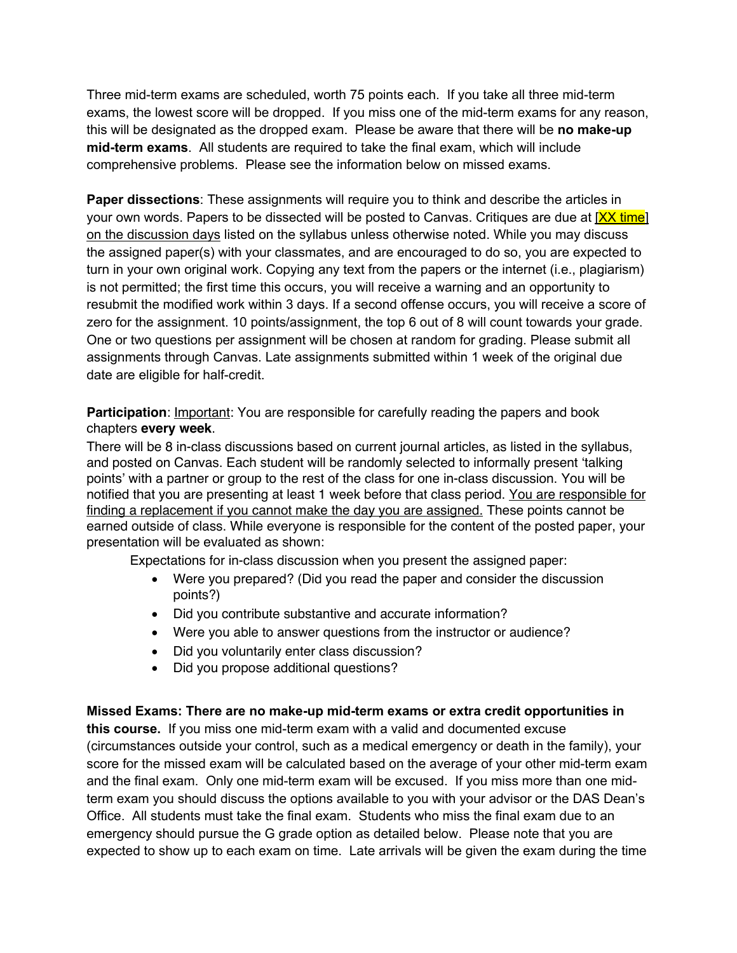Three mid-term exams are scheduled, worth 75 points each. If you take all three mid-term exams, the lowest score will be dropped. If you miss one of the mid-term exams for any reason, this will be designated as the dropped exam. Please be aware that there will be **no make-up mid-term exams**. All students are required to take the final exam, which will include comprehensive problems. Please see the information below on missed exams.

**Paper dissections:** These assignments will require you to think and describe the articles in your own words. Papers to be dissected will be posted to Canvas. Critiques are due at [XX time] on the discussion days listed on the syllabus unless otherwise noted. While you may discuss the assigned paper(s) with your classmates, and are encouraged to do so, you are expected to turn in your own original work. Copying any text from the papers or the internet (i.e., plagiarism) is not permitted; the first time this occurs, you will receive a warning and an opportunity to resubmit the modified work within 3 days. If a second offense occurs, you will receive a score of zero for the assignment. 10 points/assignment, the top 6 out of 8 will count towards your grade. One or two questions per assignment will be chosen at random for grading. Please submit all assignments through Canvas. Late assignments submitted within 1 week of the original due date are eligible for half-credit.

**Participation**: Important: You are responsible for carefully reading the papers and book chapters **every week**.

There will be 8 in-class discussions based on current journal articles, as listed in the syllabus, and posted on Canvas. Each student will be randomly selected to informally present 'talking points' with a partner or group to the rest of the class for one in-class discussion. You will be notified that you are presenting at least 1 week before that class period. You are responsible for finding a replacement if you cannot make the day you are assigned. These points cannot be earned outside of class. While everyone is responsible for the content of the posted paper, your presentation will be evaluated as shown:

Expectations for in-class discussion when you present the assigned paper:

- Were you prepared? (Did you read the paper and consider the discussion points?)
- Did you contribute substantive and accurate information?
- Were you able to answer questions from the instructor or audience?
- Did you voluntarily enter class discussion?
- Did you propose additional questions?

## **Missed Exams: There are no make-up mid-term exams or extra credit opportunities in**

**this course.** If you miss one mid-term exam with a valid and documented excuse (circumstances outside your control, such as a medical emergency or death in the family), your score for the missed exam will be calculated based on the average of your other mid-term exam and the final exam. Only one mid-term exam will be excused. If you miss more than one midterm exam you should discuss the options available to you with your advisor or the DAS Dean's Office. All students must take the final exam. Students who miss the final exam due to an emergency should pursue the G grade option as detailed below. Please note that you are expected to show up to each exam on time. Late arrivals will be given the exam during the time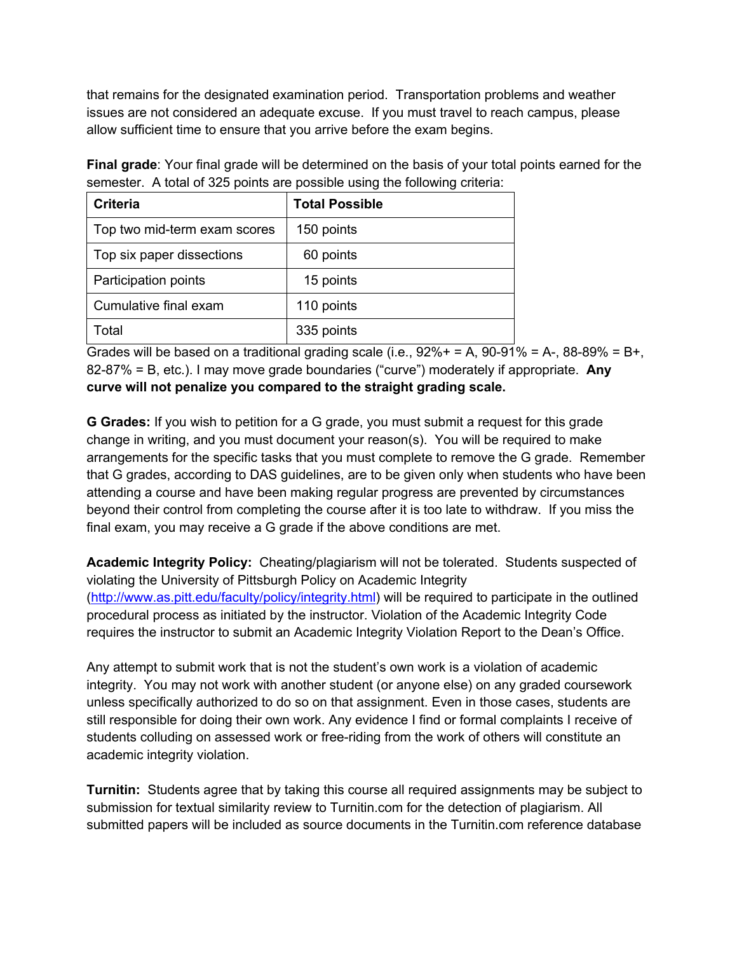that remains for the designated examination period. Transportation problems and weather issues are not considered an adequate excuse. If you must travel to reach campus, please allow sufficient time to ensure that you arrive before the exam begins.

**Final grade**: Your final grade will be determined on the basis of your total points earned for the semester. A total of 325 points are possible using the following criteria:

| <b>Criteria</b>              | <b>Total Possible</b> |
|------------------------------|-----------------------|
| Top two mid-term exam scores | 150 points            |
| Top six paper dissections    | 60 points             |
| Participation points         | 15 points             |
| Cumulative final exam        | 110 points            |
| Total                        | 335 points            |

Grades will be based on a traditional grading scale (i.e.,  $92\% + 5$ ,  $90-91\% = A$ ,  $88-89\% = B$ +, 82-87% = B, etc.). I may move grade boundaries ("curve") moderately if appropriate. **Any curve will not penalize you compared to the straight grading scale.**

**G Grades:** If you wish to petition for a G grade, you must submit a request for this grade change in writing, and you must document your reason(s). You will be required to make arrangements for the specific tasks that you must complete to remove the G grade. Remember that G grades, according to DAS guidelines, are to be given only when students who have been attending a course and have been making regular progress are prevented by circumstances beyond their control from completing the course after it is too late to withdraw. If you miss the final exam, you may receive a G grade if the above conditions are met.

**Academic Integrity Policy:** Cheating/plagiarism will not be tolerated. Students suspected of violating the University of Pittsburgh Policy on Academic Integrity (http://www.as.pitt.edu/faculty/policy/integrity.html) will be required to participate in the outlined procedural process as initiated by the instructor. Violation of the Academic Integrity Code requires the instructor to submit an Academic Integrity Violation Report to the Dean's Office.

Any attempt to submit work that is not the student's own work is a violation of academic integrity. You may not work with another student (or anyone else) on any graded coursework unless specifically authorized to do so on that assignment. Even in those cases, students are still responsible for doing their own work. Any evidence I find or formal complaints I receive of students colluding on assessed work or free-riding from the work of others will constitute an academic integrity violation.

**Turnitin:**Students agree that by taking this course all required assignments may be subject to submission for textual similarity review to Turnitin.com for the detection of plagiarism. All submitted papers will be included as source documents in the Turnitin.com reference database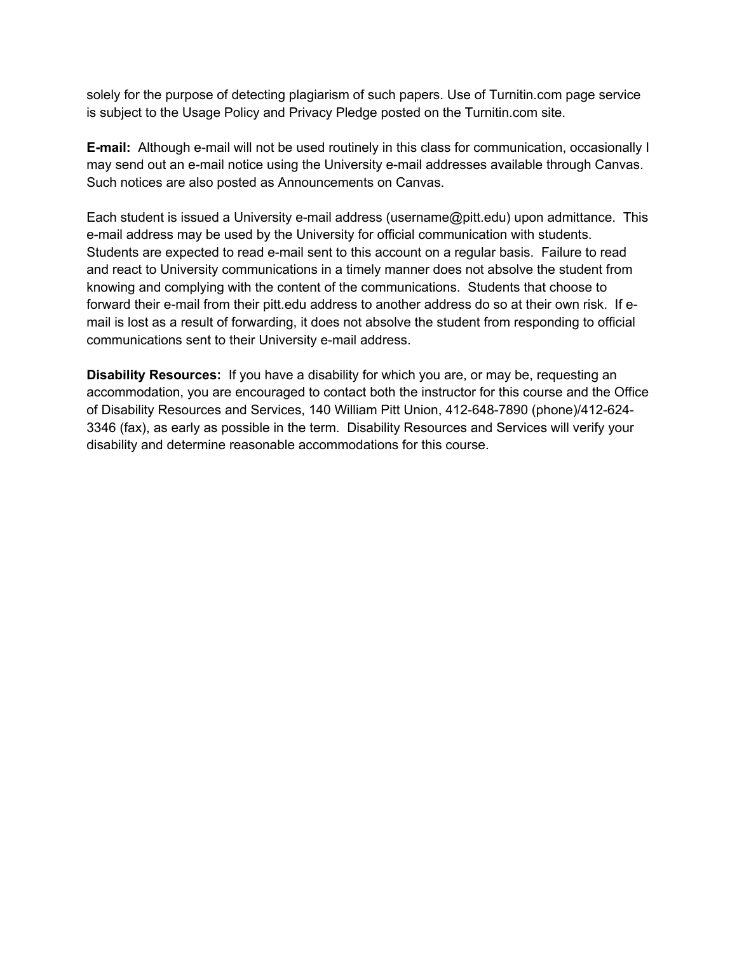solely for the purpose of detecting plagiarism of such papers. Use of Turnitin.com page service is subject to the Usage Policy and Privacy Pledge posted on the Turnitin.com site.

**E-mail:** Although e-mail will not be used routinely in this class for communication, occasionally I may send out an e-mail notice using the University e-mail addresses available through Canvas. Such notices are also posted as Announcements on Canvas.

Each student is issued a University e-mail address (username@pitt.edu) upon admittance. This e-mail address may be used by the University for official communication with students. Students are expected to read e-mail sent to this account on a regular basis. Failure to read and react to University communications in a timely manner does not absolve the student from knowing and complying with the content of the communications. Students that choose to forward their e-mail from their pitt.edu address to another address do so at their own risk. If email is lost as a result of forwarding, it does not absolve the student from responding to official communications sent to their University e-mail address.

**Disability Resources:** If you have a disability for which you are, or may be, requesting an accommodation, you are encouraged to contact both the instructor for this course and the Office of Disability Resources and Services, 140 William Pitt Union, 412-648-7890 (phone)/412-624- 3346 (fax), as early as possible in the term. Disability Resources and Services will verify your disability and determine reasonable accommodations for this course.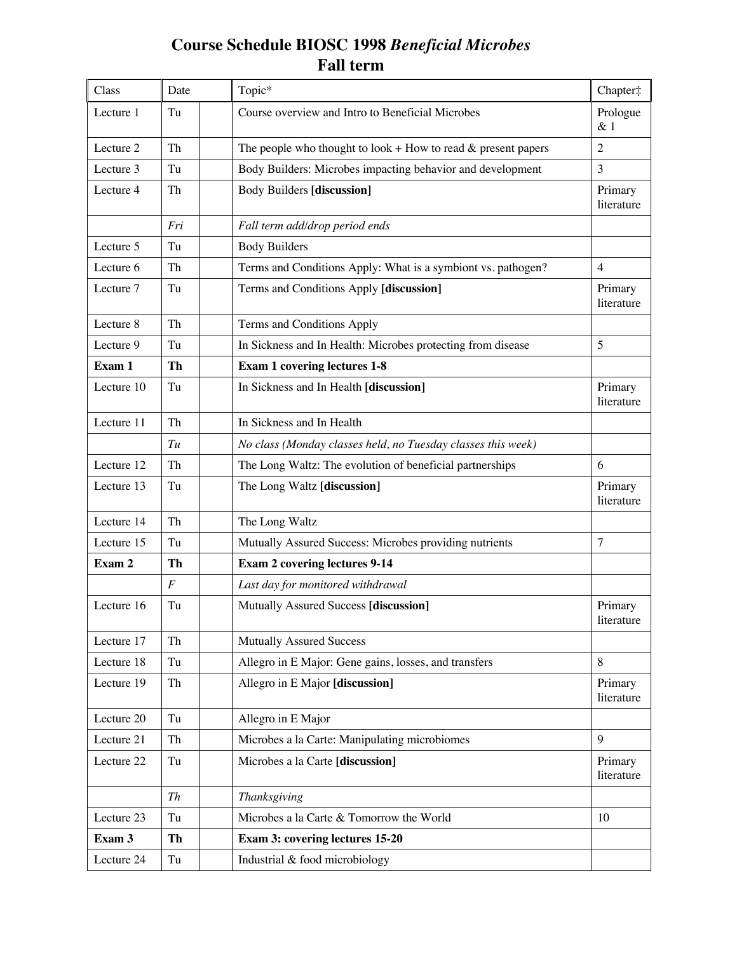## **Course Schedule BIOSC 1998** *Beneficial Microbes* **Fall term**

| Class      | Date                | Topic*                                                             | Chapter‡              |
|------------|---------------------|--------------------------------------------------------------------|-----------------------|
| Lecture 1  | Tu                  | Course overview and Intro to Beneficial Microbes                   | Prologue<br>& 1       |
| Lecture 2  | Th                  | The people who thought to look $+$ How to read $\&$ present papers | $\overline{2}$        |
| Lecture 3  | Tu                  | Body Builders: Microbes impacting behavior and development         | 3                     |
| Lecture 4  | Th                  | <b>Body Builders [discussion]</b>                                  | Primary<br>literature |
|            | Fri                 | Fall term add/drop period ends                                     |                       |
| Lecture 5  | Tu                  | <b>Body Builders</b>                                               |                       |
| Lecture 6  | Th                  | Terms and Conditions Apply: What is a symbiont vs. pathogen?       | $\overline{4}$        |
| Lecture 7  | Tu                  | Terms and Conditions Apply [discussion]                            | Primary<br>literature |
| Lecture 8  | Th                  | Terms and Conditions Apply                                         |                       |
| Lecture 9  | Tu                  | In Sickness and In Health: Microbes protecting from disease        | 5                     |
| Exam 1     | Th                  | <b>Exam 1 covering lectures 1-8</b>                                |                       |
| Lecture 10 | Tu                  | In Sickness and In Health [discussion]                             | Primary<br>literature |
| Lecture 11 | Th                  | In Sickness and In Health                                          |                       |
|            | Tu                  | No class (Monday classes held, no Tuesday classes this week)       |                       |
| Lecture 12 | Th                  | The Long Waltz: The evolution of beneficial partnerships           | 6                     |
| Lecture 13 | Tu                  | The Long Waltz [discussion]                                        | Primary<br>literature |
| Lecture 14 | Th                  | The Long Waltz                                                     |                       |
| Lecture 15 | Tu                  | Mutually Assured Success: Microbes providing nutrients             | $\overline{7}$        |
| Exam 2     | Th                  | <b>Exam 2 covering lectures 9-14</b>                               |                       |
|            | $\boldsymbol{F}$    | Last day for monitored withdrawal                                  |                       |
| Lecture 16 | Tu                  | Mutually Assured Success [discussion]                              | Primary<br>literature |
| Lecture 17 | Th                  | <b>Mutually Assured Success</b>                                    |                       |
| Lecture 18 | Tu                  | Allegro in E Major: Gene gains, losses, and transfers              | 8                     |
| Lecture 19 | Th                  | Allegro in E Major [discussion]                                    | Primary<br>literature |
| Lecture 20 | Tu                  | Allegro in E Major                                                 |                       |
| Lecture 21 | Th                  | Microbes a la Carte: Manipulating microbiomes                      | 9                     |
| Lecture 22 | Tu                  | Microbes a la Carte [discussion]                                   | Primary<br>literature |
|            | Th                  | Thanksgiving                                                       |                       |
| Lecture 23 | Tu                  | Microbes a la Carte & Tomorrow the World                           | 10                    |
| Exam 3     | Th                  | Exam 3: covering lectures 15-20                                    |                       |
| Lecture 24 | $\operatorname{Tu}$ | Industrial & food microbiology                                     |                       |